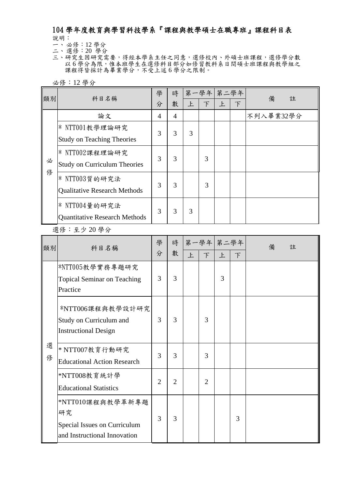## 104 學年度教育與學習科技學系『課程與教學碩士在職專班』課程科目表 說明:

一、 必修:12 學分

- 二、 選修:20 學分
- 三、研究生因研究需要,得經本學系主任之同意,選修校內、外碩士班課程,選修學分數 以6學分為限,惟本班學生在選修科目部分如修習教科系日間碩士班課程與教學組之 課程得皆採計為畢業學分,不受上述6學分之限制。

必修:12 學分

| 類別 | 科目名稱                                 | 學<br>分 | 時<br>數 | 上 | 第一學年 第二學年<br>下 | $\mathsf{F}$ | $\top$ | 備<br>註    |
|----|--------------------------------------|--------|--------|---|----------------|--------------|--------|-----------|
|    | 論文                                   | 4      | 4      |   |                |              |        | 不列入畢業32學分 |
|    | $*$ NTT001教學理論研究                     | 3      | 3      | 3 |                |              |        |           |
|    | <b>Study on Teaching Theories</b>    |        |        |   |                |              |        |           |
|    | $*$ NTT002課程理論研究                     | 3      | 3      |   | 3              |              |        |           |
| 必  | <b>Study on Curriculum Theories</b>  |        |        |   |                |              |        |           |
| 俢  | * NTT003質的研究法                        | 3      | 3      |   | 3              |              |        |           |
|    | <b>Qualitative Research Methods</b>  |        |        |   |                |              |        |           |
|    | $*$ NTT004量的研究法                      | 3      | 3      | 3 |                |              |        |           |
|    | <b>Quantitative Research Methods</b> |        |        |   |                |              |        |           |

選修:至少 20 學分

| 類別     | 科目名稱                                                                                   | 學<br>分         | 時<br>數         | 上 | 第一學年 第二學年<br>$\top$ | $\mathsf{E}$ | $\top$ | 備<br>註 |
|--------|----------------------------------------------------------------------------------------|----------------|----------------|---|---------------------|--------------|--------|--------|
|        | *NTT005教學實務專題研究<br><b>Topical Seminar on Teaching</b><br>Practice                      | 3              | 3              |   |                     | 3            |        |        |
|        | *NTT006課程與教學設計研究<br>Study on Curriculum and<br><b>Instructional Design</b>             | 3              | 3              |   | 3                   |              |        |        |
| 選<br>俢 | $*$ NTT007教育行動研究<br><b>Educational Action Research</b>                                 | 3              | 3              |   | 3                   |              |        |        |
|        | *NTT008教育統計學<br><b>Educational Statistics</b>                                          | $\overline{2}$ | $\overline{2}$ |   | $\overline{2}$      |              |        |        |
|        | *NTT010課程與教學革新專題<br>研究<br>Special Issues on Curriculum<br>and Instructional Innovation | 3              | 3              |   |                     |              | 3      |        |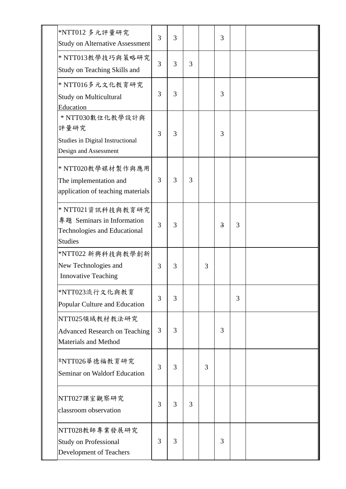| *NTT012 多元評量研究<br><b>Study on Alternative Assessment</b>                                                 | 3 | 3 |   |   | 3 |   |  |
|----------------------------------------------------------------------------------------------------------|---|---|---|---|---|---|--|
| * NTT013教學技巧與策略研究<br>Study on Teaching Skills and                                                        | 3 | 3 | 3 |   |   |   |  |
| * NTT016多元文化教育研究<br><b>Study on Multicultural</b><br>Education                                           | 3 | 3 |   |   | 3 |   |  |
| * NTT030數位化教學設計與<br>評量研究<br>Studies in Digital Instructional<br>Design and Assessment                    | 3 | 3 |   |   | 3 |   |  |
| * NTT020教學媒材製作與應用<br>The implementation and<br>application of teaching materials                         | 3 | 3 | 3 |   |   |   |  |
| * NTT021資訊科技與教育研究<br>專題 Seminars in Information<br><b>Technologies and Educational</b><br><b>Studies</b> | 3 | 3 |   |   | 3 | 3 |  |
| *NTT022 新興科技與教學創新<br>New Technologies and<br><b>Innovative Teaching</b>                                  | 3 | 3 |   | 3 |   |   |  |
| *NTT023流行文化與教育<br>Popular Culture and Education                                                          | 3 | 3 |   |   |   | 3 |  |
| NTT025領域教材教法研究<br><b>Advanced Research on Teaching</b><br>Materials and Method                           | 3 | 3 |   |   | 3 |   |  |
| *NTT026華德福教育研究<br>Seminar on Waldorf Education                                                           | 3 | 3 |   | 3 |   |   |  |
| NTT027課室觀察研究<br>classroom observation                                                                    | 3 | 3 | 3 |   |   |   |  |
| NTT028教師專業發展研究<br><b>Study on Professional</b><br>Development of Teachers                                | 3 | 3 |   |   | 3 |   |  |